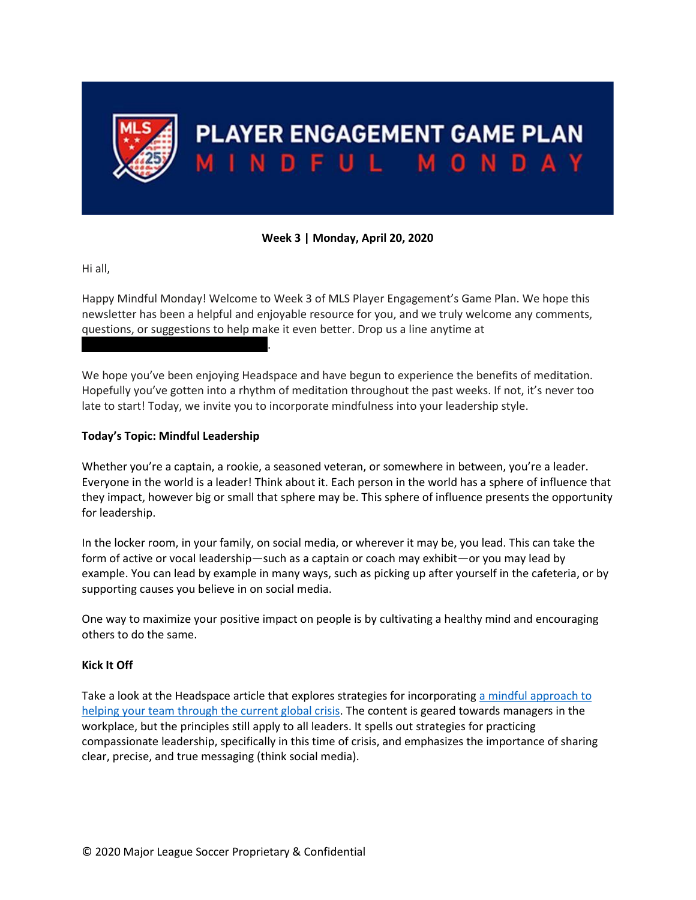

# PLAYER ENGAGEMENT GAME PLAN MINDFUL MONDAY

# **Week 3 | Monday, April 20, 2020**

Hi all,

Happy Mindful Monday! Welcome to Week 3 of MLS Player Engagement's Game Plan. We hope this newsletter has been a helpful and enjoyable resource for you, and we truly welcome any comments, questions, or suggestions to help make it even better. Drop us a line anytime at

We hope you've been enjoying Headspace and have begun to experience the benefits of meditation. Hopefully you've gotten into a rhythm of meditation throughout the past weeks. If not, it's never too late to start! Today, we invite you to incorporate mindfulness into your leadership style.

#### **Today's Topic: Mindful Leadership**

PlayerEngagement@MLSsoccer.com.

Whether you're a captain, a rookie, a seasoned veteran, or somewhere in between, you're a leader. Everyone in the world is a leader! Think about it. Each person in the world has a sphere of influence that they impact, however big or small that sphere may be. This sphere of influence presents the opportunity for leadership.

In the locker room, in your family, on social media, or wherever it may be, you lead. This can take the form of active or vocal leadership—such as a captain or coach may exhibit—or you may lead by example. You can lead by example in many ways, such as picking up after yourself in the cafeteria, or by supporting causes you believe in on social media.

One way to maximize your positive impact on people is by cultivating a healthy mind and encouraging others to do the same.

## **Kick It Off**

Take a look at the Headspace article that explores strategies for incorporatin[g a mindful approach to](https://www.headspace.com/work/mindful-approach-to-covid-19)  [helping your team through the current global crisis.](https://www.headspace.com/work/mindful-approach-to-covid-19) The content is geared towards managers in the workplace, but the principles still apply to all leaders. It spells out strategies for practicing compassionate leadership, specifically in this time of crisis, and emphasizes the importance of sharing clear, precise, and true messaging (think social media).